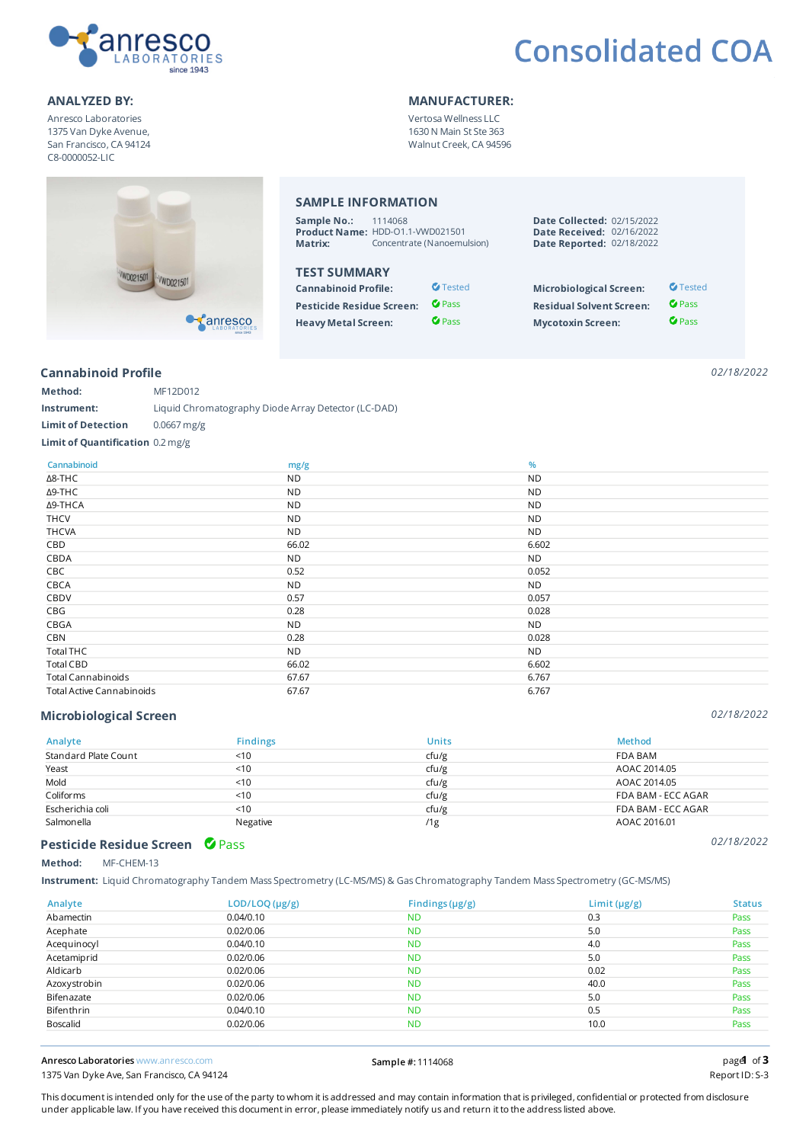

## **Consolidated COA**

#### ANALYZED BY: WANDEACTURER:

Anresco Laboratories 1375 Van Dyke Avenue, San Francisco, CA 94124 C8-0000052-LIC

### SAMPLE INFORMATION

| Sample No.: | 1114068                          |
|-------------|----------------------------------|
|             | Product Name: HDD-01.1-VWD021501 |
| Matrix:     | Concentrate (Nanoemulsion)       |

Vertosa Wellness LLC 1630 N Main St Ste 363 Walnut Creek, CA 94596

### TEST SUMMARY

| <b>Cannabinoid Profile:</b>      | $\sigma$ Tested | <b>Microbiological Screen:</b>  | $\bullet$ Tested |
|----------------------------------|-----------------|---------------------------------|------------------|
| <b>Pesticide Residue Screen:</b> | <b>C</b> Pass   | <b>Residual Solvent Screen:</b> | $O$ Pass         |
| <b>Heavy Metal Screen:</b>       | $\bullet$ Pass  | <b>Mycotoxin Screen:</b>        | $\bullet$ Pass   |

| <b>Date Collected: 02/15/2022</b> |  |
|-----------------------------------|--|
| <b>Date Received: 02/16/2022</b>  |  |
| Date Reported: 02/18/2022         |  |

| $\sigma$ Tested | <b>Microbiological Screen:</b>  | $\bullet$ Tested |
|-----------------|---------------------------------|------------------|
| $\bullet$ Pass  | <b>Residual Solvent Screen:</b> | <b>C</b> Pass    |
| $\bullet$ Pass  | <b>Mycotoxin Screen:</b>        | <b>C</b> Pass    |

#### Cannabinoid Profile

*02/18/2022*

| Method:                          | MF12D012                                            |
|----------------------------------|-----------------------------------------------------|
| Instrument:                      | Liquid Chromatography Diode Array Detector (LC-DAD) |
| <b>Limit of Detection</b>        | $0.0667$ mg/g                                       |
| Limit of Quantification 0.2 mg/g |                                                     |

 $\bullet$  anresco

| Cannabinoid                      | mg/g      | %         |
|----------------------------------|-----------|-----------|
| ∆8-THC                           | <b>ND</b> | <b>ND</b> |
| Δ9-THC                           | <b>ND</b> | <b>ND</b> |
| Δ9-THCA                          | <b>ND</b> | <b>ND</b> |
| <b>THCV</b>                      | <b>ND</b> | <b>ND</b> |
| <b>THCVA</b>                     | <b>ND</b> | <b>ND</b> |
| CBD                              | 66.02     | 6.602     |
| CBDA                             | <b>ND</b> | <b>ND</b> |
| CBC                              | 0.52      | 0.052     |
| CBCA                             | <b>ND</b> | <b>ND</b> |
| CBDV                             | 0.57      | 0.057     |
| CBG                              | 0.28      | 0.028     |
| CBGA                             | <b>ND</b> | <b>ND</b> |
| CBN                              | 0.28      | 0.028     |
| Total THC                        | <b>ND</b> | <b>ND</b> |
| Total CBD                        | 66.02     | 6.602     |
| <b>Total Cannabinoids</b>        | 67.67     | 6.767     |
| <b>Total Active Cannabinoids</b> | 67.67     | 6.767     |

#### Microbiological Screen

| Analyte              | <b>Findings</b> | <b>Units</b> | <b>Method</b>      |
|----------------------|-----------------|--------------|--------------------|
| Standard Plate Count | < 10            | cfu/g        | FDA BAM            |
| Yeast                | < 10            | cfu/g        | AOAC 2014.05       |
| Mold                 | 10              | cfu/g        | AOAC 2014.05       |
| Coliforms            | < 10            | ctu/g        | FDA BAM - ECC AGAR |
| Escherichia coli     | < 10            | cfu/g        | FDA BAM - ECC AGAR |
| Salmonella           | Negative        | /1g          | AOAC 2016.01       |

#### Pesticide Residue Screen C Pass

Method: MF-CHEM-13

Instrument: Liquid Chromatography Tandem Mass Spectrometry (LC-MS/MS) & Gas Chromatography Tandem Mass Spectrometry (GC-MS/MS)

| Analyte      | LOD/LOQ (µg/g) | Findings $(\mu g/g)$ | Limit $(\mu g/g)$ | <b>Status</b> |
|--------------|----------------|----------------------|-------------------|---------------|
| Abamectin    | 0.04/0.10      | <b>ND</b>            | 0.3               | Pass          |
| Acephate     | 0.02/0.06      | <b>ND</b>            | 5.0               | Pass          |
| Acequinocyl  | 0.04/0.10      | <b>ND</b>            | 4.0               | Pass          |
| Acetamiprid  | 0.02/0.06      | <b>ND</b>            | 5.0               | Pass          |
| Aldicarb     | 0.02/0.06      | <b>ND</b>            | 0.02              | Pass          |
| Azoxystrobin | 0.02/0.06      | <b>ND</b>            | 40.0              | Pass          |
| Bifenazate   | 0.02/0.06      | <b>ND</b>            | 5.0               | Pass          |
| Bifenthrin   | 0.04/0.10      | <b>ND</b>            | 0.5               | Pass          |
| Boscalid     | 0.02/0.06      | <b>ND</b>            | 10.0              | Pass          |

Anresco Laboratories www.anresco.com Sample #: 1114068 page of

1375 Van Dyke Ave, San Francisco, CA 94124

 $pagd$  of  $3$ 

This document is intended only for the use of the party to whom it is addressed and may contain information that is privileged, confidential or protected from disclosure under applicable law. If you have received this document in error, please immediately notify us and return it to the address listed above.

*02/18/2022*

*02/18/2022*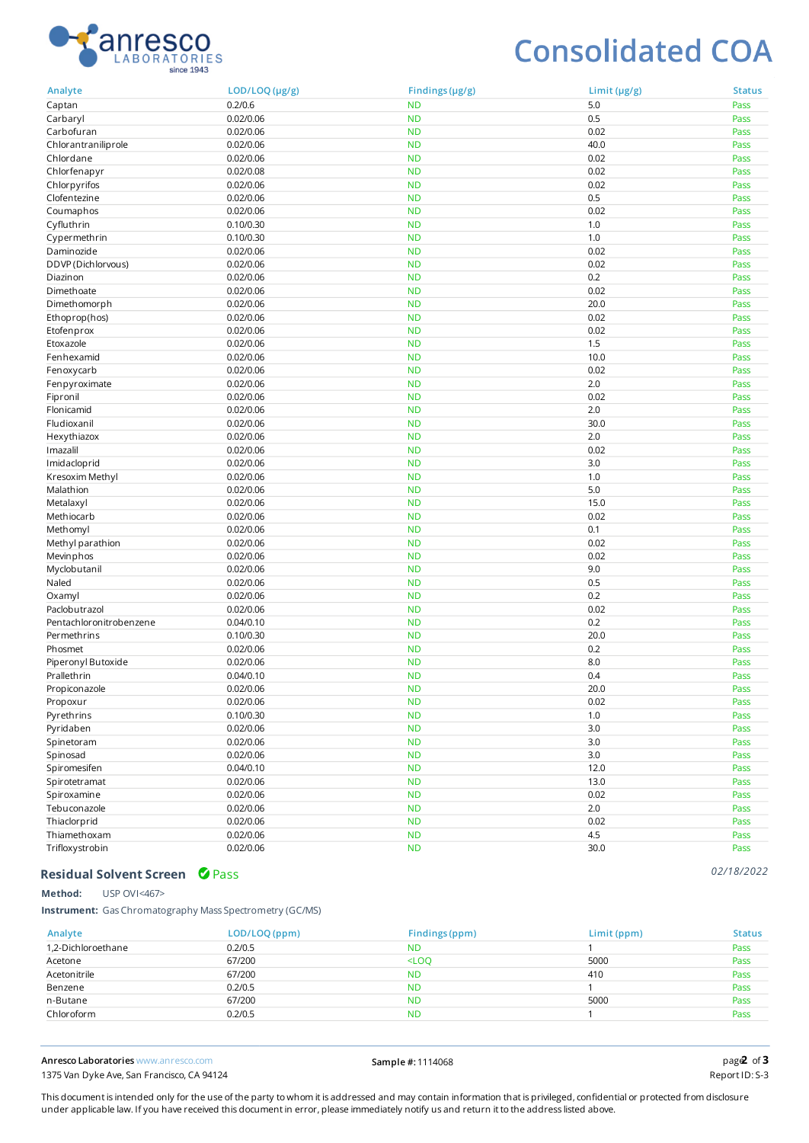

## **Consolidated COA**

| Analyte                   | LOD/LOQ (µg/g)         | Findings $(\mu g/g)$   | Limit $(\mu g/g)$ | <b>Status</b> |
|---------------------------|------------------------|------------------------|-------------------|---------------|
| Captan                    | 0.2/0.6                | <b>ND</b>              | 5.0               | Pass          |
| Carbaryl                  | 0.02/0.06              | <b>ND</b>              | 0.5               | Pass          |
| Carbofuran                | 0.02/0.06              | <b>ND</b>              | 0.02              | Pass          |
| Chlorantraniliprole       | 0.02/0.06              | <b>ND</b>              | 40.0              | Pass          |
| Chlordane                 | 0.02/0.06              | <b>ND</b>              | 0.02              | Pass          |
| Chlorfenapyr              | 0.02/0.08              | <b>ND</b>              | 0.02              | Pass          |
| Chlorpyrifos              | 0.02/0.06              | <b>ND</b>              | 0.02              | Pass          |
| Clofentezine              | 0.02/0.06              | <b>ND</b>              | 0.5               | Pass          |
| Coumaphos                 | 0.02/0.06              | <b>ND</b>              | 0.02              | Pass          |
| Cyfluthrin                | 0.10/0.30              | <b>ND</b>              | 1.0               | Pass          |
| Cypermethrin              | 0.10/0.30              | <b>ND</b>              | 1.0               | Pass          |
| Daminozide                | 0.02/0.06              | <b>ND</b>              | 0.02              | Pass          |
| DDVP (Dichlorvous)        | 0.02/0.06              | <b>ND</b>              | 0.02              | Pass          |
| Diazinon                  | 0.02/0.06              | <b>ND</b>              | 0.2               | Pass          |
| Dimethoate                | 0.02/0.06              | <b>ND</b>              | 0.02              | Pass          |
| Dimethomorph              | 0.02/0.06              | <b>ND</b>              | 20.0              | Pass          |
| Ethoprop(hos)             | 0.02/0.06              | <b>ND</b>              | 0.02              | Pass          |
| Etofenprox                | 0.02/0.06              | <b>ND</b>              | 0.02              | Pass          |
| Etoxazole                 | 0.02/0.06              | <b>ND</b>              | 1.5               | Pass          |
| Fenhexamid                | 0.02/0.06              | <b>ND</b>              | 10.0              | Pass          |
| Fenoxycarb                | 0.02/0.06              | <b>ND</b>              | 0.02              | Pass          |
| Fenpyroximate             | 0.02/0.06              | <b>ND</b>              | 2.0               | Pass          |
| Fipronil                  | 0.02/0.06              | <b>ND</b>              | 0.02              | Pass          |
| Flonicamid                | 0.02/0.06              | <b>ND</b>              | 2.0               | Pass          |
| Fludioxanil               | 0.02/0.06              | <b>ND</b>              | 30.0              | Pass          |
| Hexythiazox               | 0.02/0.06              | <b>ND</b>              | 2.0               | Pass          |
| Imazalil                  | 0.02/0.06              | <b>ND</b>              | 0.02              | Pass          |
| Imidacloprid              | 0.02/0.06              | <b>ND</b>              | 3.0               | Pass          |
| Kresoxim Methyl           | 0.02/0.06              | <b>ND</b>              | 1.0               | Pass          |
| Malathion                 | 0.02/0.06              | <b>ND</b>              | 5.0               | Pass          |
| Metalaxyl                 | 0.02/0.06              | <b>ND</b>              | 15.0              | Pass          |
| Methiocarb                | 0.02/0.06              | <b>ND</b>              | 0.02              | Pass          |
| Methomyl                  | 0.02/0.06              | <b>ND</b>              | 0.1               | Pass          |
|                           | 0.02/0.06              | <b>ND</b>              | 0.02              | Pass          |
| Methyl parathion          | 0.02/0.06              | <b>ND</b>              | 0.02              |               |
| Mevinphos<br>Myclobutanil | 0.02/0.06              | <b>ND</b>              | 9.0               | Pass          |
| Naled                     | 0.02/0.06              |                        | 0.5               | Pass          |
|                           |                        | <b>ND</b><br><b>ND</b> | 0.2               | Pass          |
| Oxamyl<br>Paclobutrazol   | 0.02/0.06              | <b>ND</b>              |                   | Pass          |
|                           | 0.02/0.06              |                        | 0.02              | Pass          |
| Pentachloronitrobenzene   | 0.04/0.10              | <b>ND</b>              | 0.2               | Pass          |
| Permethrins               | 0.10/0.30<br>0.02/0.06 | <b>ND</b>              | 20.0              | Pass          |
| Phosmet                   |                        | <b>ND</b>              | 0.2<br>8.0        | Pass          |
| Piperonyl Butoxide        | 0.02/0.06              | <b>ND</b>              |                   | Pass          |
| Prallethrin               | 0.04/0.10              | <b>ND</b>              | 0.4               | Pass          |
| Propiconazole             | 0.02/0.06              | <b>ND</b>              | 20.0              | Pass          |
| Propoxur                  | 0.02/0.06              | <b>ND</b>              | 0.02              | Pass          |
| Pyrethrins                | 0.10/0.30              | <b>ND</b>              | 1.0               | Pass          |
| Pyridaben                 | 0.02/0.06              | <b>ND</b>              | 3.0               | Pass          |
| Spinetoram                | 0.02/0.06              | <b>ND</b>              | 3.0               | Pass          |
| Spinosad                  | 0.02/0.06              | <b>ND</b>              | $3.0\,$           | Pass          |
| Spiromesifen              | 0.04/0.10              | <b>ND</b>              | 12.0              | Pass          |
| Spirotetramat             | 0.02/0.06              | <b>ND</b>              | 13.0              | Pass          |
| Spiroxamine               | 0.02/0.06              | <b>ND</b>              | 0.02              | Pass          |
| Tebuconazole              | 0.02/0.06              | <b>ND</b>              | $2.0\,$           | Pass          |
| Thiaclorprid              | 0.02/0.06              | <b>ND</b>              | 0.02              | Pass          |
| Thiamethoxam              | 0.02/0.06              | <b>ND</b>              | 4.5               | Pass          |
| Trifloxystrobin           | 0.02/0.06              | <b>ND</b>              | 30.0              | Pass          |

#### Residual Solvent Screen **O** Pass

Method: USP OVI<467>

Instrument: Gas Chromatography Mass Spectrometry (GC/MS)

| Analyte            | LOD/LOQ (ppm) | Findings (ppm) | Limit (ppm) | <b>Status</b> |
|--------------------|---------------|----------------|-------------|---------------|
| 1,2-Dichloroethane | 0.2/0.5       | <b>ND</b>      |             | Pass          |
| Acetone            | 67/200        | $<$ LOO        | 5000        | Pass          |
| Acetonitrile       | 67/200        | <b>ND</b>      | 410         | Pass          |
| Benzene            | 0.2/0.5       | <b>ND</b>      |             | Pass          |
| n-Butane           | 67/200        | <b>ND</b>      | 5000        | Pass          |
| Chloroform         | 0.2/0.5       | <b>ND</b>      |             | Pass          |

Anresco Laboratories www.anresco.com Sample #: 1114068 page of 1375 Van Dyke Ave, San Francisco, CA 94124

 $page2$  of 3

*02/18/2022*

This document is intended only for the use of the party to whom it is addressed and may contain information that is privileged, confidential or protected from disclosure under applicable law. If you have received this document in error, please immediately notify us and return it to the address listed above.